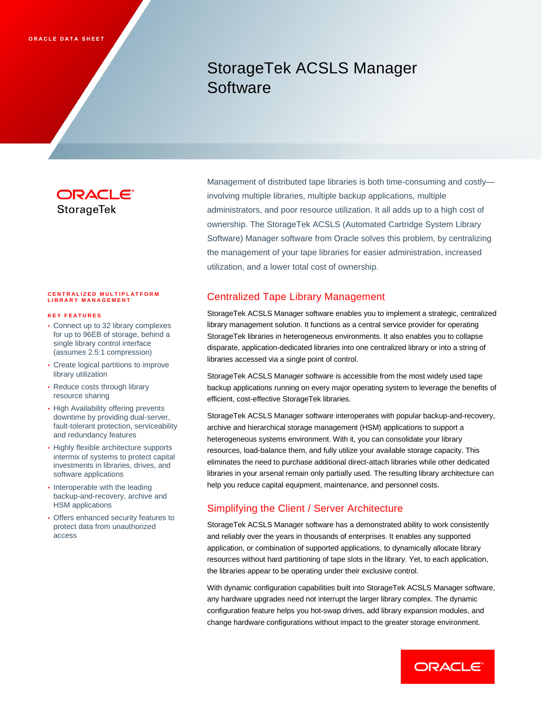# StorageTek ACSLS Manager **Software**

## ORACLE' **StorageTek**

#### **C E N T R A L I Z E D M U L T I P L A T F O R M LIBRARY MANAGEMENT**

#### **K E Y F E A T U R E S**

- Connect up to 32 library complexes for up to 96EB of storage, behind a single library control interface (assumes 2.5:1 compression)
- Create logical partitions to improve library utilization
- Reduce costs through library resource sharing
- High Availability offering prevents downtime by providing dual-server, fault-tolerant protection, serviceability and redundancy features
- Highly flexible architecture supports intermix of systems to protect capital investments in libraries, drives, and software applications
- Interoperable with the leading backup-and-recovery, archive and HSM applications
- Offers enhanced security features to protect data from unauthorized access

Management of distributed tape libraries is both time-consuming and costly involving multiple libraries, multiple backup applications, multiple administrators, and poor resource utilization. It all adds up to a high cost of ownership. The StorageTek ACSLS (Automated Cartridge System Library Software) Manager software from Oracle solves this problem, by centralizing the management of your tape libraries for easier administration, increased utilization, and a lower total cost of ownership.

## Centralized Tape Library Management

StorageTek ACSLS Manager software enables you to implement a strategic, centralized library management solution. It functions as a central service provider for operating StorageTek libraries in heterogeneous environments. It also enables you to collapse disparate, application-dedicated libraries into one centralized library or into a string of libraries accessed via a single point of control.

StorageTek ACSLS Manager software is accessible from the most widely used tape backup applications running on every major operating system to leverage the benefits of efficient, cost-effective StorageTek libraries.

StorageTek ACSLS Manager software interoperates with popular backup-and-recovery, archive and hierarchical storage management (HSM) applications to support a heterogeneous systems environment. With it, you can consolidate your library resources, load-balance them, and fully utilize your available storage capacity. This eliminates the need to purchase additional direct-attach libraries while other dedicated libraries in your arsenal remain only partially used. The resulting library architecture can help you reduce capital equipment, maintenance, and personnel costs.

## Simplifying the Client / Server Architecture

StorageTek ACSLS Manager software has a demonstrated ability to work consistently and reliably over the years in thousands of enterprises. It enables any supported application, or combination of supported applications, to dynamically allocate library resources without hard partitioning of tape slots in the library. Yet, to each application, the libraries appear to be operating under their exclusive control.

With dynamic configuration capabilities built into StorageTek ACSLS Manager software, any hardware upgrades need not interrupt the larger library complex. The dynamic configuration feature helps you hot-swap drives, add library expansion modules, and change hardware configurations without impact to the greater storage environment.

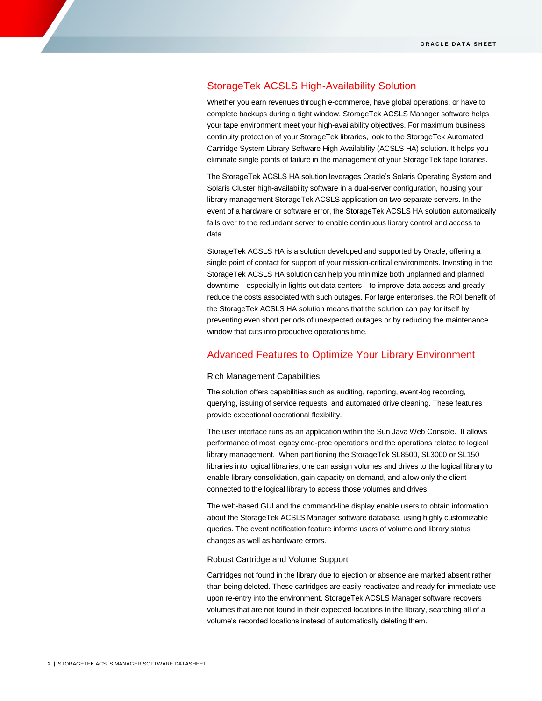## StorageTek ACSLS High-Availability Solution

Whether you earn revenues through e-commerce, have global operations, or have to complete backups during a tight window, StorageTek ACSLS Manager software helps your tape environment meet your high-availability objectives. For maximum business continuity protection of your StorageTek libraries, look to the StorageTek Automated Cartridge System Library Software High Availability (ACSLS HA) solution. It helps you eliminate single points of failure in the management of your StorageTek tape libraries.

The StorageTek ACSLS HA solution leverages Oracle's Solaris Operating System and Solaris Cluster high-availability software in a dual-server configuration, housing your library management StorageTek ACSLS application on two separate servers. In the event of a hardware or software error, the StorageTek ACSLS HA solution automatically fails over to the redundant server to enable continuous library control and access to data.

StorageTek ACSLS HA is a solution developed and supported by Oracle, offering a single point of contact for support of your mission-critical environments. Investing in the StorageTek ACSLS HA solution can help you minimize both unplanned and planned downtime—especially in lights-out data centers—to improve data access and greatly reduce the costs associated with such outages. For large enterprises, the ROI benefit of the StorageTek ACSLS HA solution means that the solution can pay for itself by preventing even short periods of unexpected outages or by reducing the maintenance window that cuts into productive operations time.

## Advanced Features to Optimize Your Library Environment

#### Rich Management Capabilities

The solution offers capabilities such as auditing, reporting, event-log recording, querying, issuing of service requests, and automated drive cleaning. These features provide exceptional operational flexibility.

The user interface runs as an application within the Sun Java Web Console. It allows performance of most legacy cmd-proc operations and the operations related to logical library management. When partitioning the StorageTek SL8500, SL3000 or SL150 libraries into logical libraries, one can assign volumes and drives to the logical library to enable library consolidation, gain capacity on demand, and allow only the client connected to the logical library to access those volumes and drives.

The web-based GUI and the command-line display enable users to obtain information about the StorageTek ACSLS Manager software database, using highly customizable queries. The event notification feature informs users of volume and library status changes as well as hardware errors.

#### Robust Cartridge and Volume Support

Cartridges not found in the library due to ejection or absence are marked absent rather than being deleted. These cartridges are easily reactivated and ready for immediate use upon re-entry into the environment. StorageTek ACSLS Manager software recovers volumes that are not found in their expected locations in the library, searching all of a volume's recorded locations instead of automatically deleting them.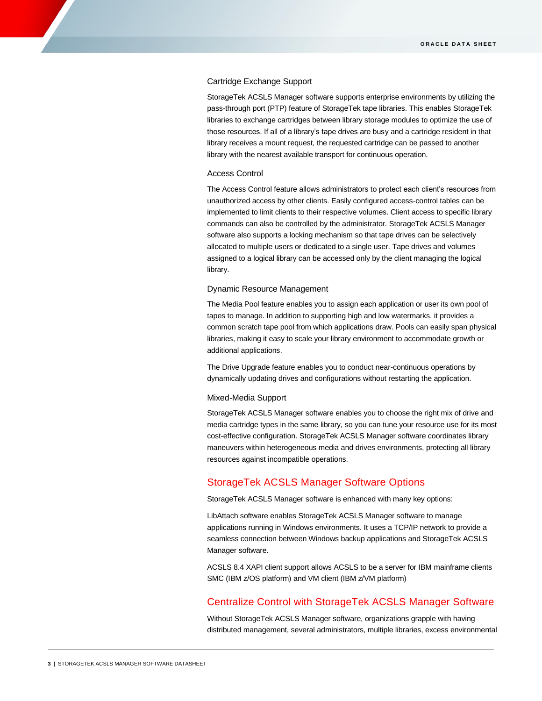#### Cartridge Exchange Support

StorageTek ACSLS Manager software supports enterprise environments by utilizing the pass-through port (PTP) feature of StorageTek tape libraries. This enables StorageTek libraries to exchange cartridges between library storage modules to optimize the use of those resources. If all of a library's tape drives are busy and a cartridge resident in that library receives a mount request, the requested cartridge can be passed to another library with the nearest available transport for continuous operation.

#### Access Control

The Access Control feature allows administrators to protect each client's resources from unauthorized access by other clients. Easily configured access-control tables can be implemented to limit clients to their respective volumes. Client access to specific library commands can also be controlled by the administrator. StorageTek ACSLS Manager software also supports a locking mechanism so that tape drives can be selectively allocated to multiple users or dedicated to a single user. Tape drives and volumes assigned to a logical library can be accessed only by the client managing the logical library.

#### Dynamic Resource Management

The Media Pool feature enables you to assign each application or user its own pool of tapes to manage. In addition to supporting high and low watermarks, it provides a common scratch tape pool from which applications draw. Pools can easily span physical libraries, making it easy to scale your library environment to accommodate growth or additional applications.

The Drive Upgrade feature enables you to conduct near-continuous operations by dynamically updating drives and configurations without restarting the application.

#### Mixed-Media Support

StorageTek ACSLS Manager software enables you to choose the right mix of drive and media cartridge types in the same library, so you can tune your resource use for its most cost-effective configuration. StorageTek ACSLS Manager software coordinates library maneuvers within heterogeneous media and drives environments, protecting all library resources against incompatible operations.

## StorageTek ACSLS Manager Software Options

StorageTek ACSLS Manager software is enhanced with many key options:

LibAttach software enables StorageTek ACSLS Manager software to manage applications running in Windows environments. It uses a TCP/IP network to provide a seamless connection between Windows backup applications and StorageTek ACSLS Manager software.

ACSLS 8.4 XAPI client support allows ACSLS to be a server for IBM mainframe clients SMC (IBM z/OS platform) and VM client (IBM z/VM platform)

## Centralize Control with StorageTek ACSLS Manager Software

Without StorageTek ACSLS Manager software, organizations grapple with having distributed management, several administrators, multiple libraries, excess environmental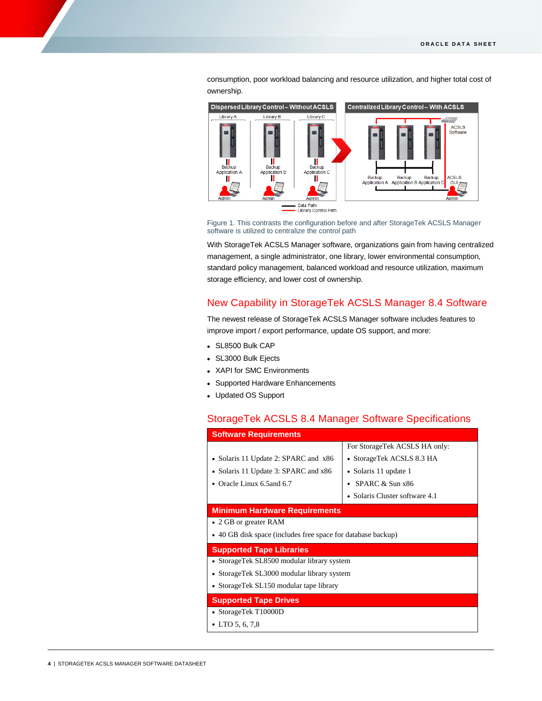consumption, poor workload balancing and resource utilization, and higher total cost of ownership.



Figure 1. This contrasts the configuration before and after StorageTek ACSLS Manager software is utilized to centralize the control path

With StorageTek ACSLS Manager software, organizations gain from having centralized management, a single administrator, one library, lower environmental consumption, standard policy management, balanced workload and resource utilization, maximum storage efficiency, and lower cost of ownership.

## New Capability in StorageTek ACSLS Manager 8.4 Software

The newest release of StorageTek ACSLS Manager software includes features to improve import / export performance, update OS support, and more:

- SL8500 Bulk CAP
- SL3000 Bulk Ejects
- XAPI for SMC Environments
- Supported Hardware Enhancements
- Updated OS Support

## StorageTek ACSLS 8.4 Manager Software Specifications

| <b>Software Requirements</b>                                 |                                |
|--------------------------------------------------------------|--------------------------------|
|                                                              | For StorageTek ACSLS HA only:  |
| • Solaris 11 Update 2: SPARC and x86                         | • StorageTek ACSLS 8.3 HA      |
| • Solaris 11 Update 3: SPARC and x86                         | • Solaris 11 update 1          |
| • Oracle Linux 6.5 and 6.7                                   | • SPARC $&$ Sun $\times$ 86    |
|                                                              | • Solaris Cluster software 4.1 |
| <b>Minimum Hardware Requirements</b>                         |                                |
| • 2 GB or greater RAM                                        |                                |
| • 40 GB disk space (includes free space for database backup) |                                |
| <b>Supported Tape Libraries</b>                              |                                |
| • StorageTek SL8500 modular library system                   |                                |
| • StorageTek SL3000 modular library system                   |                                |
| • StorageTek SL150 modular tape library                      |                                |
| <b>Supported Tape Drives</b>                                 |                                |
| • StorageTek T10000D                                         |                                |
| • LTO 5, 6, 7,8                                              |                                |